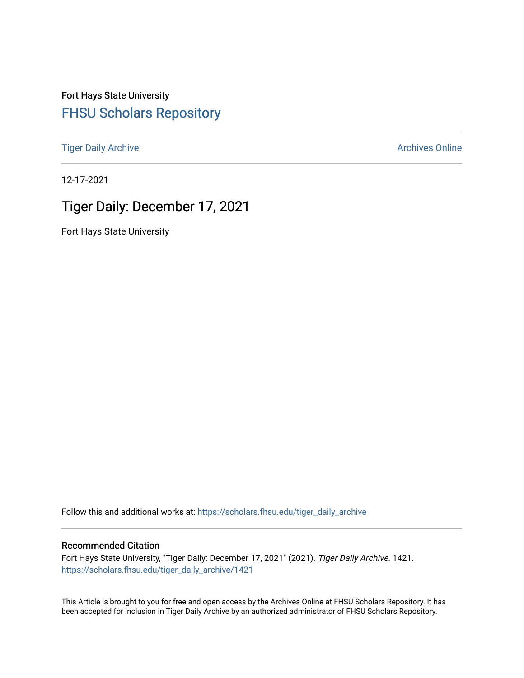Fort Hays State University [FHSU Scholars Repository](https://scholars.fhsu.edu/) 

[Tiger Daily Archive](https://scholars.fhsu.edu/tiger_daily_archive) **Archives** Online Archives Online

12-17-2021

# Tiger Daily: December 17, 2021

Fort Hays State University

Follow this and additional works at: [https://scholars.fhsu.edu/tiger\\_daily\\_archive](https://scholars.fhsu.edu/tiger_daily_archive?utm_source=scholars.fhsu.edu%2Ftiger_daily_archive%2F1421&utm_medium=PDF&utm_campaign=PDFCoverPages)

### Recommended Citation

Fort Hays State University, "Tiger Daily: December 17, 2021" (2021). Tiger Daily Archive. 1421. [https://scholars.fhsu.edu/tiger\\_daily\\_archive/1421](https://scholars.fhsu.edu/tiger_daily_archive/1421?utm_source=scholars.fhsu.edu%2Ftiger_daily_archive%2F1421&utm_medium=PDF&utm_campaign=PDFCoverPages)

This Article is brought to you for free and open access by the Archives Online at FHSU Scholars Repository. It has been accepted for inclusion in Tiger Daily Archive by an authorized administrator of FHSU Scholars Repository.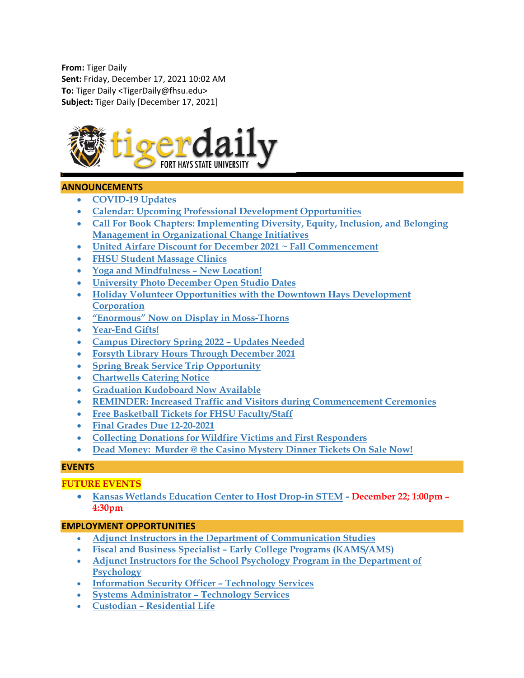**From:** Tiger Daily **Sent:** Friday, December 17, 2021 10:02 AM **To:** Tiger Daily <TigerDaily@fhsu.edu> **Subject:** Tiger Daily [December 17, 2021]



### **ANNOUNCEMENTS**

- **[COVID-19 Updates](#page-2-0)**
- **[Calendar: Upcoming Professional Development Opportunities](#page-2-1)**
- **[Call For Book Chapters: Implementing Diversity, Equity, Inclusion, and Belonging](#page-2-2)  [Management in Organizational Change Initiatives](#page-2-2)**
- **[United Airfare Discount for December 2021 ~ Fall Commencement](#page-2-3)**
- **[FHSU Student Massage Clinics](#page-3-0)**
- **[Yoga and Mindfulness –](#page-3-1) New Location!**
- **[University Photo December Open Studio Dates](#page-3-2)**
- **[Holiday Volunteer Opportunities with the Downtown Hays Development](#page-4-0)  [Corporation](#page-4-0)**
- **["Enormous" Now on Display in Moss-Thorns](#page-4-1)**
- **[Year-End Gifts!](#page-4-2)**
- **[Campus Directory Spring 2022 –](#page-5-0) Updates Needed**
- **[Forsyth Library Hours Through December 2021](#page-5-1)**
- **[Spring Break Service Trip Opportunity](#page-5-2)**
- **[Chartwells Catering Notice](#page-6-0)**
- **[Graduation Kudoboard Now Available](#page-6-1)**
- **[REMINDER: Increased Traffic and Visitors during Commencement Ceremonies](#page-6-2)**
- **[Free Basketball Tickets for FHSU Faculty/Staff](#page-6-3)**
- **[Final Grades Due 12-20-2021](#page-6-4)**
- **[Collecting Donations for Wildfire Victims and First Responders](#page-6-5)**
- **Dead Money: [Murder @ the Casino Mystery Dinner Tickets On Sale Now!](#page-7-0)**

### **EVENTS**

# **FUTURE EVENTS**

• **[Kansas Wetlands Education Center to Host Drop-in STEM](#page-7-1) - December 22; 1:00pm – 4:30pm**

### **EMPLOYMENT OPPORTUNITIES**

- **[Adjunct Instructors in the Department of Communication Studies](#page-7-2)**
- **Fiscal and Business Specialist – [Early College Programs \(KAMS/AMS\)](#page-8-0)**
- **[Adjunct Instructors for the School Psychology Program in the Department of](#page-9-0)  [Psychology](#page-9-0)**
- **[Information Security Officer –](#page-10-0) Technology Services**
- **[Systems Administrator –](#page-10-1) Technology Services**
- **Custodian – [Residential Life](#page-10-2)**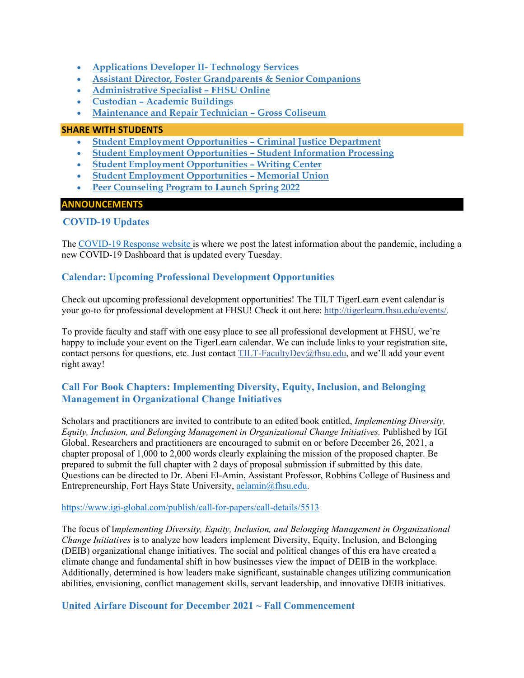- **[Applications Developer II-](#page-11-0) Technology Services**
- **[Assistant Director, Foster Grandparents & Senior Companions](#page-11-1)**
- **[Administrative Specialist –](#page-12-0) FHSU Online**
- **Custodian – [Academic Buildings](#page-12-1)**
- **[Maintenance and Repair Technician –](#page-13-0) Gross Coliseum**

#### **SHARE WITH STUDENTS**

- **[Student Employment Opportunities –](#page-14-0) Criminal Justice Department**
- **[Student Employment Opportunities –](#page-14-1) Student Information Processing**
- **[Student Employment](#page-14-2) Opportunities – Writing Center**
- **[Student Employment Opportunities –](#page-15-0) Memorial Union**
- <span id="page-2-0"></span>• **[Peer Counseling Program to Launch Spring 2022](#page-15-1)**

### **ANNOUNCEMENTS**

# **COVID-19 Updates**

The [COVID-19 Response website](https://www.fhsu.edu/covid-19-response/index) is where we post the latest information about the pandemic, including a new COVID-19 Dashboard that is updated every Tuesday.

# <span id="page-2-1"></span>**Calendar: Upcoming Professional Development Opportunities**

Check out upcoming professional development opportunities! The TILT TigerLearn event calendar is your go-to for professional development at FHSU! Check it out here: [http://tigerlearn.fhsu.edu/events/.](http://tigerlearn.fhsu.edu/events/)

To provide faculty and staff with one easy place to see all professional development at FHSU, we're happy to include your event on the TigerLearn calendar. We can include links to your registration site, contact persons for questions, etc. Just contact [TILT-FacultyDev@fhsu.edu,](mailto:TILT-FacultyDev@fhsu.edu) and we'll add your event right away!

# <span id="page-2-2"></span>**Call For Book Chapters: Implementing Diversity, Equity, Inclusion, and Belonging Management in Organizational Change Initiatives**

Scholars and practitioners are invited to contribute to an edited book entitled, *Implementing Diversity, Equity, Inclusion, and Belonging Management in Organizational Change Initiatives.* Published by IGI Global. Researchers and practitioners are encouraged to submit on or before December 26, 2021, a chapter proposal of 1,000 to 2,000 words clearly explaining the mission of the proposed chapter. Be prepared to submit the full chapter with 2 days of proposal submission if submitted by this date. Questions can be directed to Dr. Abeni El-Amin, Assistant Professor, Robbins College of Business and Entrepreneurship, Fort Hays State University, [aelamin@fhsu.edu.](mailto:aelamin@fhsu.edu)

### <https://www.igi-global.com/publish/call-for-papers/call-details/5513>

The focus of I*mplementing Diversity, Equity, Inclusion, and Belonging Management in Organizational Change Initiatives* is to analyze how leaders implement Diversity, Equity, Inclusion, and Belonging (DEIB) organizational change initiatives. The social and political changes of this era have created a climate change and fundamental shift in how businesses view the impact of DEIB in the workplace. Additionally, determined is how leaders make significant, sustainable changes utilizing communication abilities, envisioning, conflict management skills, servant leadership, and innovative DEIB initiatives.

<span id="page-2-3"></span>**United Airfare Discount for December 2021 ~ Fall Commencement**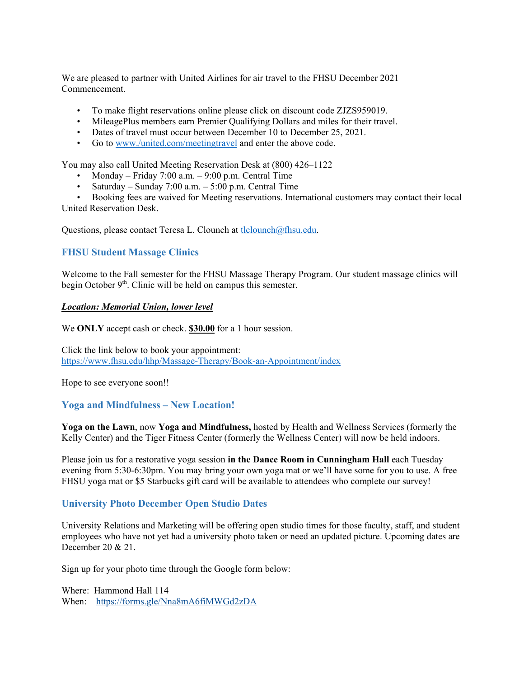We are pleased to partner with United Airlines for air travel to the FHSU December 2021 Commencement.

- To make flight reservations online please click on discount code ZJZS959019.
- MileagePlus members earn Premier Qualifying Dollars and miles for their travel.
- Dates of travel must occur between December 10 to December 25, 2021.
- Go to [www./united.com/meetingtravel](http://www./united.com/meetingtravel) and enter the above code.

You may also call United Meeting Reservation Desk at (800) 426–1122

- Monday Friday 7:00 a.m.  $9:00$  p.m. Central Time
- Saturday Sunday 7:00 a.m. 5:00 p.m. Central Time
- Booking fees are waived for Meeting reservations. International customers may contact their local

United Reservation Desk.

Questions, please contact Teresa L. Clounch at [tlclounch@fhsu.edu.](mailto:tlclounch@fhsu.edu)

### <span id="page-3-0"></span>**FHSU Student Massage Clinics**

Welcome to the Fall semester for the FHSU Massage Therapy Program. Our student massage clinics will begin October  $9<sup>th</sup>$ . Clinic will be held on campus this semester.

#### *Location: Memorial Union, lower level*

We **ONLY** accept cash or check. **\$30.00** for a 1 hour session.

Click the link below to book your appointment: <https://www.fhsu.edu/hhp/Massage-Therapy/Book-an-Appointment/index>

Hope to see everyone soon!!

### <span id="page-3-1"></span>**Yoga and Mindfulness – New Location!**

**Yoga on the Lawn**, now **Yoga and Mindfulness,** hosted by Health and Wellness Services (formerly the Kelly Center) and the Tiger Fitness Center (formerly the Wellness Center) will now be held indoors.

Please join us for a restorative yoga session **in the Dance Room in Cunningham Hall** each Tuesday evening from 5:30-6:30pm. You may bring your own yoga mat or we'll have some for you to use. A free FHSU yoga mat or \$5 Starbucks gift card will be available to attendees who complete our survey!

# <span id="page-3-2"></span>**University Photo December Open Studio Dates**

University Relations and Marketing will be offering open studio times for those faculty, staff, and student employees who have not yet had a university photo taken or need an updated picture. Upcoming dates are December 20 & 21.

Sign up for your photo time through the Google form below:

Where: Hammond Hall 114 When: <https://forms.gle/Nna8mA6fiMWGd2zDA>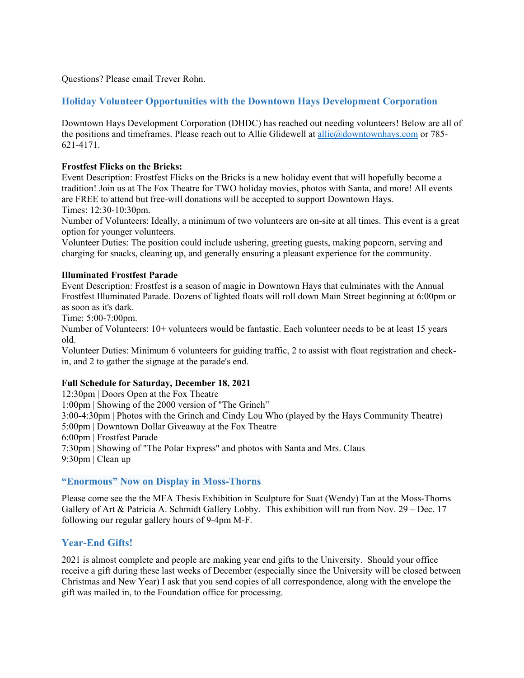Questions? Please email Trever Rohn.

# <span id="page-4-0"></span>**Holiday Volunteer Opportunities with the Downtown Hays Development Corporation**

Downtown Hays Development Corporation (DHDC) has reached out needing volunteers! Below are all of the positions and timeframes. Please reach out to Allie Glidewell at [allie@downtownhays.com](mailto:allie@downtownhays.com) or 785- 621-4171.

#### **Frostfest Flicks on the Bricks:**

Event Description: Frostfest Flicks on the Bricks is a new holiday event that will hopefully become a tradition! Join us at The Fox Theatre for TWO holiday movies, photos with Santa, and more! All events are FREE to attend but free-will donations will be accepted to support Downtown Hays. Times: 12:30-10:30pm.

Number of Volunteers: Ideally, a minimum of two volunteers are on-site at all times. This event is a great option for younger volunteers.

Volunteer Duties: The position could include ushering, greeting guests, making popcorn, serving and charging for snacks, cleaning up, and generally ensuring a pleasant experience for the community.

#### **Illuminated Frostfest Parade**

Event Description: Frostfest is a season of magic in Downtown Hays that culminates with the Annual Frostfest Illuminated Parade. Dozens of lighted floats will roll down Main Street beginning at 6:00pm or as soon as it's dark.

Time: 5:00-7:00pm.

Number of Volunteers: 10+ volunteers would be fantastic. Each volunteer needs to be at least 15 years old.

Volunteer Duties: Minimum 6 volunteers for guiding traffic, 2 to assist with float registration and checkin, and 2 to gather the signage at the parade's end.

#### **Full Schedule for Saturday, December 18, 2021**

12:30pm | Doors Open at the Fox Theatre 1:00pm | Showing of the 2000 version of "The Grinch" 3:00-4:30pm | Photos with the Grinch and Cindy Lou Who (played by the Hays Community Theatre) 5:00pm | Downtown Dollar Giveaway at the Fox Theatre 6:00pm | Frostfest Parade 7:30pm | Showing of "The Polar Express" and photos with Santa and Mrs. Claus 9:30pm | Clean up

### <span id="page-4-1"></span>**"Enormous" Now on Display in Moss-Thorns**

Please come see the the MFA Thesis Exhibition in Sculpture for Suat (Wendy) Tan at the Moss-Thorns Gallery of Art & Patricia A. Schmidt Gallery Lobby. This exhibition will run from Nov. 29 – Dec. 17 following our regular gallery hours of 9-4pm M-F.

### <span id="page-4-2"></span>**Year-End Gifts!**

2021 is almost complete and people are making year end gifts to the University. Should your office receive a gift during these last weeks of December (especially since the University will be closed between Christmas and New Year) I ask that you send copies of all correspondence, along with the envelope the gift was mailed in, to the Foundation office for processing.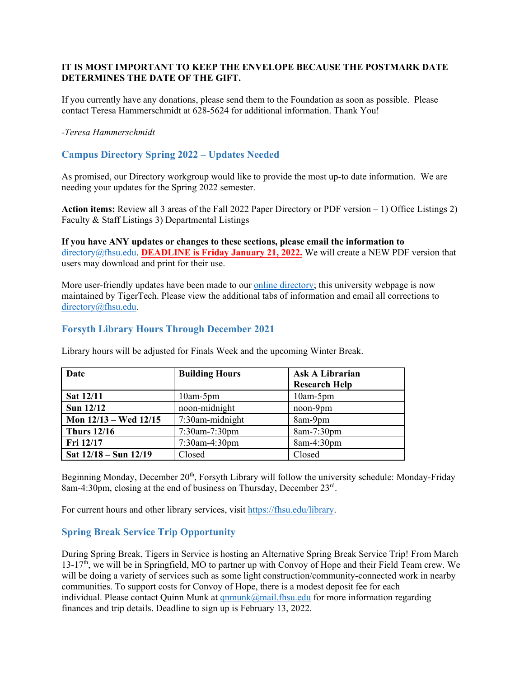# **IT IS MOST IMPORTANT TO KEEP THE ENVELOPE BECAUSE THE POSTMARK DATE DETERMINES THE DATE OF THE GIFT.**

If you currently have any donations, please send them to the Foundation as soon as possible. Please contact Teresa Hammerschmidt at 628-5624 for additional information. Thank You!

#### *-Teresa Hammerschmidt*

# <span id="page-5-0"></span>**Campus Directory Spring 2022 – Updates Needed**

As promised, our Directory workgroup would like to provide the most up-to date information. We are needing your updates for the Spring 2022 semester.

**Action items:** Review all 3 areas of the Fall 2022 Paper Directory or PDF version – 1) Office Listings 2) Faculty & Staff Listings 3) Departmental Listings

**If you have ANY updates or changes to these sections, please email the information to** [directory@fhsu.edu.](mailto:directory@fhsu.edu) **DEADLINE is Friday January 21, 2022.** We will create a NEW PDF version that users may download and print for their use.

More user-friendly updates have been made to our [online directory;](https://www.fhsu.edu/directory/) this university webpage is now maintained by TigerTech. Please view the additional tabs of information and email all corrections to [directory@fhsu.edu.](mailto:directory@fhsu.edu)

### <span id="page-5-1"></span>**Forsyth Library Hours Through December 2021**

| Date                      | <b>Building Hours</b> | <b>Ask A Librarian</b><br><b>Research Help</b> |
|---------------------------|-----------------------|------------------------------------------------|
| Sat 12/11                 | $10am-5pm$            | $10am-5pm$                                     |
| Sun 12/12                 | noon-midnight         | noon-9pm                                       |
| Mon $12/13$ – Wed $12/15$ | 7:30am-midnight       | 8am-9pm                                        |
| <b>Thurs 12/16</b>        | 7:30am-7:30pm         | 8am-7:30pm                                     |
| Fri 12/17                 | 7:30am-4:30pm         | 8am-4:30pm                                     |
| Sat $12/18 -$ Sun $12/19$ | Closed                | Closed                                         |

Library hours will be adjusted for Finals Week and the upcoming Winter Break.

Beginning Monday, December 20<sup>th</sup>, Forsyth Library will follow the university schedule: Monday-Friday 8am-4:30pm, closing at the end of business on Thursday, December 23rd.

For current hours and other library services, visit [https://fhsu.edu/library.](https://fhsu.edu/library)

# <span id="page-5-2"></span>**Spring Break Service Trip Opportunity**

During Spring Break, Tigers in Service is hosting an Alternative Spring Break Service Trip! From March  $13-17<sup>th</sup>$ , we will be in Springfield, MO to partner up with Convoy of Hope and their Field Team crew. We will be doing a variety of services such as some light construction/community-connected work in nearby communities. To support costs for Convoy of Hope, there is a modest deposit fee for each individual. Please contact Quinn Munk at  $qnmunk@mail.fhsu.edu$  for more information regarding finances and trip details. Deadline to sign up is February 13, 2022.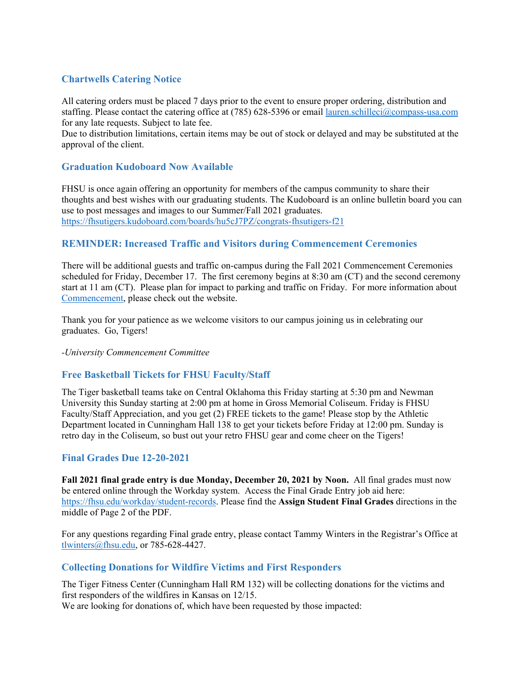# <span id="page-6-0"></span>**Chartwells Catering Notice**

All catering orders must be placed 7 days prior to the event to ensure proper ordering, distribution and staffing. Please contact the catering office at (785) 628-5396 or email [lauren.schilleci@compass-usa.com](mailto:lauren.schilleci@compass-usa.com) for any late requests. Subject to late fee.

Due to distribution limitations, certain items may be out of stock or delayed and may be substituted at the approval of the client.

# <span id="page-6-1"></span>**[Graduation Kudoboard Now Available](https://fhsutigers.kudoboard.com/boards/hu5cJ7PZ/congrats-fhsutigers-f21)**

FHSU is once again offering an opportunity for members of the campus community to share their thoughts and best wishes with our graduating students. The Kudoboard is an online bulletin board you can use to post messages and images to our Summer/Fall 2021 graduates. <https://fhsutigers.kudoboard.com/boards/hu5cJ7PZ/congrats-fhsutigers-f21>

<span id="page-6-2"></span>**REMINDER: Increased Traffic and Visitors during Commencement Ceremonies**

There will be additional guests and traffic on-campus during the Fall 2021 Commencement Ceremonies scheduled for Friday, December 17. The first ceremony begins at 8:30 am (CT) and the second ceremony start at 11 am (CT). Please plan for impact to parking and traffic on Friday. For more information about [Commencement,](https://www.fhsu.edu/commencement/) please check out the website.

Thank you for your patience as we welcome visitors to our campus joining us in celebrating our graduates. Go, Tigers!

*-University Commencement Committee*

# <span id="page-6-3"></span>**Free Basketball Tickets for FHSU Faculty/Staff**

The Tiger basketball teams take on Central Oklahoma this Friday starting at 5:30 pm and Newman University this Sunday starting at 2:00 pm at home in Gross Memorial Coliseum. Friday is FHSU Faculty/Staff Appreciation, and you get (2) FREE tickets to the game! Please stop by the Athletic Department located in Cunningham Hall 138 to get your tickets before Friday at 12:00 pm. Sunday is retro day in the Coliseum, so bust out your retro FHSU gear and come cheer on the Tigers!

# <span id="page-6-4"></span>**Final Grades Due 12-20-2021**

**Fall 2021 final grade entry is due Monday, December 20, 2021 by Noon.** All final grades must now be entered online through the Workday system. Access the Final Grade Entry job aid here: [https://fhsu.edu/workday/student-records.](https://fhsu.edu/workday/student-records) Please find the **Assign Student Final Grades** directions in the middle of Page 2 of the PDF.

For any questions regarding Final grade entry, please contact Tammy Winters in the Registrar's Office at [tlwinters@fhsu.edu,](mailto:tlwinters@fhsu.edu) or 785-628-4427.

# <span id="page-6-5"></span>**Collecting Donations for Wildfire Victims and First Responders**

The Tiger Fitness Center (Cunningham Hall RM 132) will be collecting donations for the victims and first responders of the wildfires in Kansas on 12/15. We are looking for donations of, which have been requested by those impacted: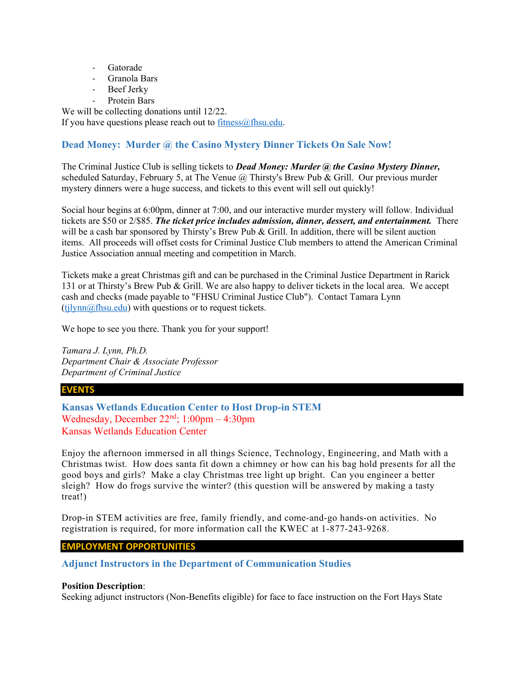- **Gatorade**
- Granola Bars
- Beef Jerky
- <span id="page-7-0"></span>Protein Bars

We will be collecting donations until 12/22.

If you have questions please reach out to  $fitness@f$  hsu.edu.

# **Dead Money: Murder @ the Casino Mystery Dinner Tickets On Sale Now!**

The Criminal Justice Club is selling tickets to *Dead Money: Murder @ the Casino Mystery Dinner,* scheduled Saturday, February 5, at The Venue  $(a)$  Thirsty's Brew Pub & Grill. Our previous murder mystery dinners were a huge success, and tickets to this event will sell out quickly!

Social hour begins at 6:00pm, dinner at 7:00, and our interactive murder mystery will follow. Individual tickets are \$50 or 2/\$85. *The ticket price includes admission, dinner, dessert, and entertainment.* There will be a cash bar sponsored by Thirsty's Brew Pub & Grill. In addition, there will be silent auction items. All proceeds will offset costs for Criminal Justice Club members to attend the American Criminal Justice Association annual meeting and competition in March.

Tickets make a great Christmas gift and can be purchased in the Criminal Justice Department in Rarick 131 or at Thirsty's Brew Pub & Grill. We are also happy to deliver tickets in the local area. We accept cash and checks (made payable to "FHSU Criminal Justice Club"). Contact Tamara Lynn  $(tjlynn@fhsu.edu)$  with questions or to request tickets.

We hope to see you there. Thank you for your support!

*Tamara J. Lynn, Ph.D. Department Chair & Associate Professor Department of Criminal Justice*

### **EVENTS**

<span id="page-7-1"></span>**Kansas Wetlands Education Center to Host Drop-in STEM**  Wednesday, December  $22<sup>nd</sup>$ ; 1:00pm – 4:30pm Kansas Wetlands Education Center

Enjoy the afternoon immersed in all things Science, Technology, Engineering, and Math with a Christmas twist. How does santa fit down a chimney or how can his bag hold presents for all the good boys and girls? Make a clay Christmas tree light up bright. Can you engineer a better sleigh? How do frogs survive the winter? (this question will be answered by making a tasty treat!)

Drop-in STEM activities are free, family friendly, and come-and-go hands-on activities. No registration is required, for more information call the KWEC at 1-877-243-9268.

# **EMPLOYMENT OPPORTUNITIES**

<span id="page-7-2"></span>**Adjunct Instructors in the Department of Communication Studies**

### **Position Description**:

Seeking adjunct instructors (Non-Benefits eligible) for face to face instruction on the Fort Hays State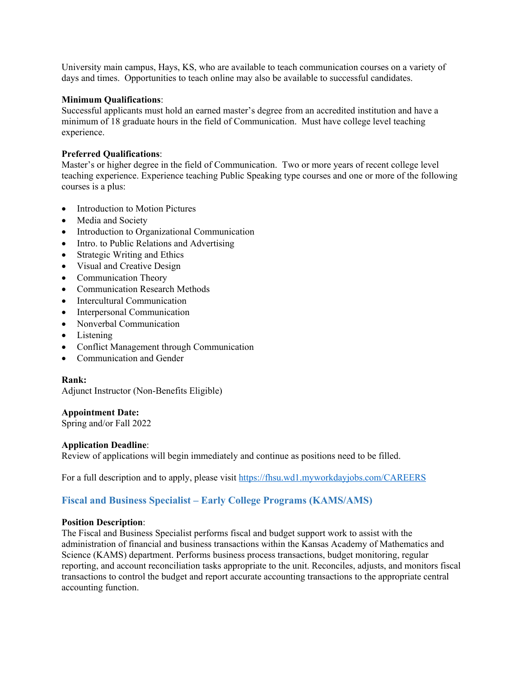University main campus, Hays, KS, who are available to teach communication courses on a variety of days and times. Opportunities to teach online may also be available to successful candidates.

#### **Minimum Qualifications**:

Successful applicants must hold an earned master's degree from an accredited institution and have a minimum of 18 graduate hours in the field of Communication. Must have college level teaching experience.

#### **Preferred Qualifications**:

Master's or higher degree in the field of Communication. Two or more years of recent college level teaching experience. Experience teaching Public Speaking type courses and one or more of the following courses is a plus:

- Introduction to Motion Pictures
- Media and Society
- Introduction to Organizational Communication
- Intro. to Public Relations and Advertising
- Strategic Writing and Ethics
- Visual and Creative Design
- Communication Theory
- Communication Research Methods
- Intercultural Communication
- Interpersonal Communication
- Nonverbal Communication
- Listening
- Conflict Management through Communication
- Communication and Gender

### **Rank:**

Adjunct Instructor (Non-Benefits Eligible)

#### **Appointment Date:**

Spring and/or Fall 2022

### **Application Deadline**:

Review of applications will begin immediately and continue as positions need to be filled.

For a full description and to apply, please visit<https://fhsu.wd1.myworkdayjobs.com/CAREERS>

# <span id="page-8-0"></span>**Fiscal and Business Specialist – Early College Programs (KAMS/AMS)**

#### **Position Description**:

The Fiscal and Business Specialist performs fiscal and budget support work to assist with the administration of financial and business transactions within the Kansas Academy of Mathematics and Science (KAMS) department. Performs business process transactions, budget monitoring, regular reporting, and account reconciliation tasks appropriate to the unit. Reconciles, adjusts, and monitors fiscal transactions to control the budget and report accurate accounting transactions to the appropriate central accounting function.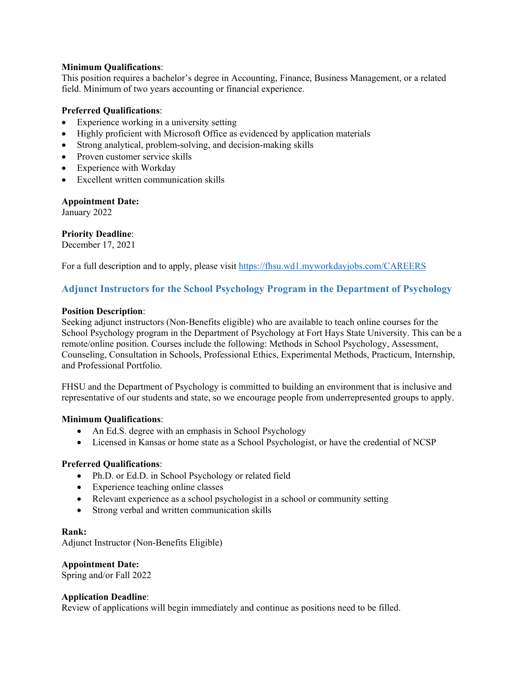### **Minimum Qualifications**:

This position requires a bachelor's degree in Accounting, Finance, Business Management, or a related field. Minimum of two years accounting or financial experience.

#### **Preferred Qualifications**:

- Experience working in a university setting
- Highly proficient with Microsoft Office as evidenced by application materials
- Strong analytical, problem-solving, and decision-making skills
- Proven customer service skills
- Experience with Workday
- Excellent written communication skills

**Appointment Date:**

January 2022

**Priority Deadline**: December 17, 2021

For a full description and to apply, please visit<https://fhsu.wd1.myworkdayjobs.com/CAREERS>

# <span id="page-9-0"></span>**Adjunct Instructors for the School Psychology Program in the Department of Psychology**

#### **Position Description**:

Seeking adjunct instructors (Non-Benefits eligible) who are available to teach online courses for the School Psychology program in the Department of Psychology at Fort Hays State University. This can be a remote/online position. Courses include the following: Methods in School Psychology, Assessment, Counseling, Consultation in Schools, Professional Ethics, Experimental Methods, Practicum, Internship, and Professional Portfolio.

FHSU and the Department of Psychology is committed to building an environment that is inclusive and representative of our students and state, so we encourage people from underrepresented groups to apply.

#### **Minimum Qualifications**:

- An Ed.S. degree with an emphasis in School Psychology
- Licensed in Kansas or home state as a School Psychologist, or have the credential of NCSP

### **Preferred Qualifications**:

- Ph.D. or Ed.D. in School Psychology or related field
- Experience teaching online classes
- Relevant experience as a school psychologist in a school or community setting
- Strong verbal and written communication skills

#### **Rank:**

Adjunct Instructor (Non-Benefits Eligible)

# **Appointment Date:**

Spring and/or Fall 2022

#### **Application Deadline**:

Review of applications will begin immediately and continue as positions need to be filled.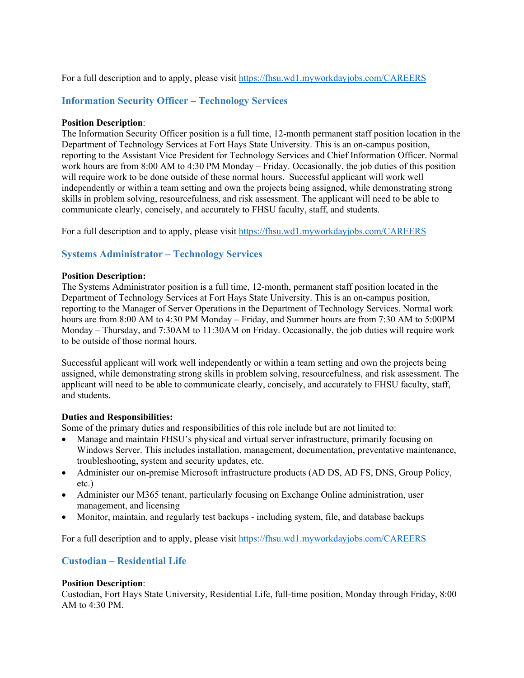For a full description and to apply, please visit<https://fhsu.wd1.myworkdayjobs.com/CAREERS>

# <span id="page-10-0"></span>**Information Security Officer – Technology Services**

### **Position Description**:

The Information Security Officer position is a full time, 12-month permanent staff position location in the Department of Technology Services at Fort Hays State University. This is an on-campus position, reporting to the Assistant Vice President for Technology Services and Chief Information Officer. Normal work hours are from 8:00 AM to 4:30 PM Monday – Friday. Occasionally, the job duties of this position will require work to be done outside of these normal hours. Successful applicant will work well independently or within a team setting and own the projects being assigned, while demonstrating strong skills in problem solving, resourcefulness, and risk assessment. The applicant will need to be able to communicate clearly, concisely, and accurately to FHSU faculty, staff, and students.

For a full description and to apply, please visit<https://fhsu.wd1.myworkdayjobs.com/CAREERS>

### <span id="page-10-1"></span>**Systems Administrator – Technology Services**

#### **Position Description:**

The Systems Administrator position is a full time, 12-month, permanent staff position located in the Department of Technology Services at Fort Hays State University. This is an on-campus position, reporting to the Manager of Server Operations in the Department of Technology Services. Normal work hours are from 8:00 AM to 4:30 PM Monday – Friday, and Summer hours are from 7:30 AM to 5:00PM Monday – Thursday, and 7:30AM to 11:30AM on Friday. Occasionally, the job duties will require work to be outside of those normal hours.

Successful applicant will work well independently or within a team setting and own the projects being assigned, while demonstrating strong skills in problem solving, resourcefulness, and risk assessment. The applicant will need to be able to communicate clearly, concisely, and accurately to FHSU faculty, staff, and students.

#### **Duties and Responsibilities:**

Some of the primary duties and responsibilities of this role include but are not limited to:

- Manage and maintain FHSU's physical and virtual server infrastructure, primarily focusing on Windows Server. This includes installation, management, documentation, preventative maintenance, troubleshooting, system and security updates, etc.
- Administer our on-premise Microsoft infrastructure products (AD DS, AD FS, DNS, Group Policy, etc.)
- Administer our M365 tenant, particularly focusing on Exchange Online administration, user management, and licensing
- Monitor, maintain, and regularly test backups including system, file, and database backups

For a full description and to apply, please visit<https://fhsu.wd1.myworkdayjobs.com/CAREERS>

# <span id="page-10-2"></span>**Custodian – Residential Life**

#### **Position Description**:

Custodian, Fort Hays State University, Residential Life, full-time position, Monday through Friday, 8:00 AM to 4:30 PM.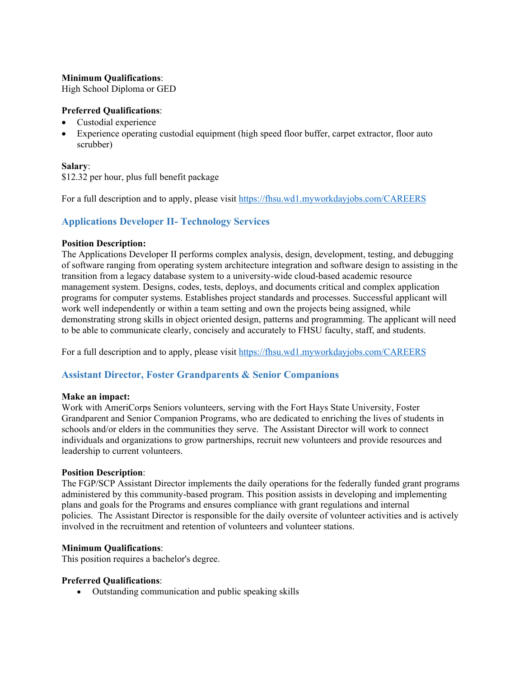### **Minimum Qualifications**:

High School Diploma or GED

# **Preferred Qualifications**:

- Custodial experience
- Experience operating custodial equipment (high speed floor buffer, carpet extractor, floor auto scrubber)

# **Salary**:

\$12.32 per hour, plus full benefit package

For a full description and to apply, please visit<https://fhsu.wd1.myworkdayjobs.com/CAREERS>

# <span id="page-11-0"></span>**Applications Developer II- Technology Services**

### **Position Description:**

The Applications Developer II performs complex analysis, design, development, testing, and debugging of software ranging from operating system architecture integration and software design to assisting in the transition from a legacy database system to a university-wide cloud-based academic resource management system. Designs, codes, tests, deploys, and documents critical and complex application programs for computer systems. Establishes project standards and processes. Successful applicant will work well independently or within a team setting and own the projects being assigned, while demonstrating strong skills in object oriented design, patterns and programming. The applicant will need to be able to communicate clearly, concisely and accurately to FHSU faculty, staff, and students.

For a full description and to apply, please visit<https://fhsu.wd1.myworkdayjobs.com/CAREERS>

# <span id="page-11-1"></span>**Assistant Director, Foster Grandparents & Senior Companions**

### **Make an impact:**

Work with AmeriCorps Seniors volunteers, serving with the Fort Hays State University, Foster Grandparent and Senior Companion Programs, who are dedicated to enriching the lives of students in schools and/or elders in the communities they serve. The Assistant Director will work to connect individuals and organizations to grow partnerships, recruit new volunteers and provide resources and leadership to current volunteers.

### **Position Description**:

The FGP/SCP Assistant Director implements the daily operations for the federally funded grant programs administered by this community-based program. This position assists in developing and implementing plans and goals for the Programs and ensures compliance with grant regulations and internal policies. The Assistant Director is responsible for the daily oversite of volunteer activities and is actively involved in the recruitment and retention of volunteers and volunteer stations.

### **Minimum Qualifications**:

This position requires a bachelor's degree.

### **Preferred Qualifications**:

• Outstanding communication and public speaking skills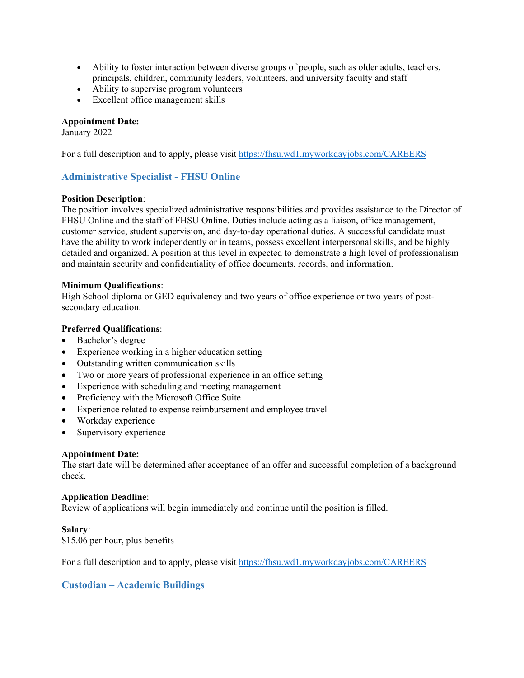- Ability to foster interaction between diverse groups of people, such as older adults, teachers, principals, children, community leaders, volunteers, and university faculty and staff
- Ability to supervise program volunteers
- Excellent office management skills

#### **Appointment Date:**

January 2022

For a full description and to apply, please visit<https://fhsu.wd1.myworkdayjobs.com/CAREERS>

# <span id="page-12-0"></span>**Administrative Specialist - FHSU Online**

#### **Position Description**:

The position involves specialized administrative responsibilities and provides assistance to the Director of FHSU Online and the staff of FHSU Online. Duties include acting as a liaison, office management, customer service, student supervision, and day-to-day operational duties. A successful candidate must have the ability to work independently or in teams, possess excellent interpersonal skills, and be highly detailed and organized. A position at this level in expected to demonstrate a high level of professionalism and maintain security and confidentiality of office documents, records, and information.

#### **Minimum Qualifications**:

High School diploma or GED equivalency and two years of office experience or two years of postsecondary education.

#### **Preferred Qualifications**:

- Bachelor's degree
- Experience working in a higher education setting
- Outstanding written communication skills
- Two or more years of professional experience in an office setting
- Experience with scheduling and meeting management
- Proficiency with the Microsoft Office Suite
- Experience related to expense reimbursement and employee travel
- Workday experience
- Supervisory experience

#### **Appointment Date:**

The start date will be determined after acceptance of an offer and successful completion of a background check.

#### **Application Deadline**:

Review of applications will begin immediately and continue until the position is filled.

#### **Salary**:

\$15.06 per hour, plus benefits

For a full description and to apply, please visit<https://fhsu.wd1.myworkdayjobs.com/CAREERS>

# <span id="page-12-1"></span>**Custodian – Academic Buildings**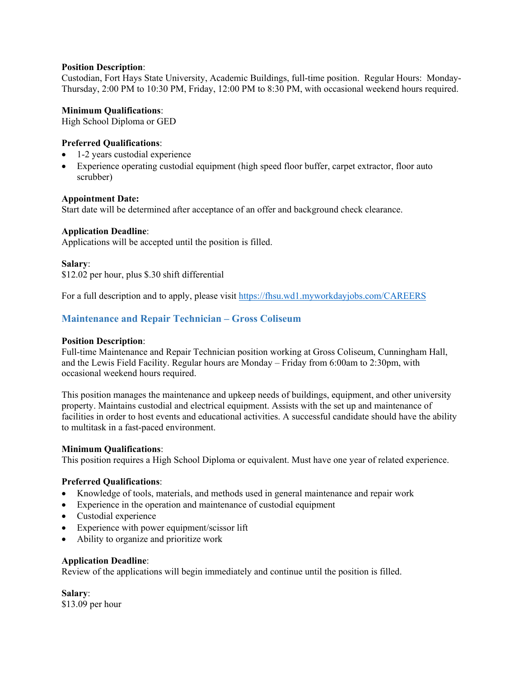### **Position Description**:

Custodian, Fort Hays State University, Academic Buildings, full-time position. Regular Hours: Monday-Thursday, 2:00 PM to 10:30 PM, Friday, 12:00 PM to 8:30 PM, with occasional weekend hours required.

### **Minimum Qualifications**:

High School Diploma or GED

### **Preferred Qualifications**:

- 1-2 years custodial experience
- Experience operating custodial equipment (high speed floor buffer, carpet extractor, floor auto scrubber)

### **Appointment Date:**

Start date will be determined after acceptance of an offer and background check clearance.

### **Application Deadline**:

Applications will be accepted until the position is filled.

#### **Salary**:

\$12.02 per hour, plus \$.30 shift differential

For a full description and to apply, please visit<https://fhsu.wd1.myworkdayjobs.com/CAREERS>

### <span id="page-13-0"></span>**Maintenance and Repair Technician – Gross Coliseum**

#### **Position Description**:

Full-time Maintenance and Repair Technician position working at Gross Coliseum, Cunningham Hall, and the Lewis Field Facility. Regular hours are Monday – Friday from 6:00am to 2:30pm, with occasional weekend hours required.

This position manages the maintenance and upkeep needs of buildings, equipment, and other university property. Maintains custodial and electrical equipment. Assists with the set up and maintenance of facilities in order to host events and educational activities. A successful candidate should have the ability to multitask in a fast-paced environment.

### **Minimum Qualifications**:

This position requires a High School Diploma or equivalent. Must have one year of related experience.

### **Preferred Qualifications**:

- Knowledge of tools, materials, and methods used in general maintenance and repair work
- Experience in the operation and maintenance of custodial equipment
- Custodial experience
- Experience with power equipment/scissor lift
- Ability to organize and prioritize work

#### **Application Deadline**:

Review of the applications will begin immediately and continue until the position is filled.

**Salary**: \$13.09 per hour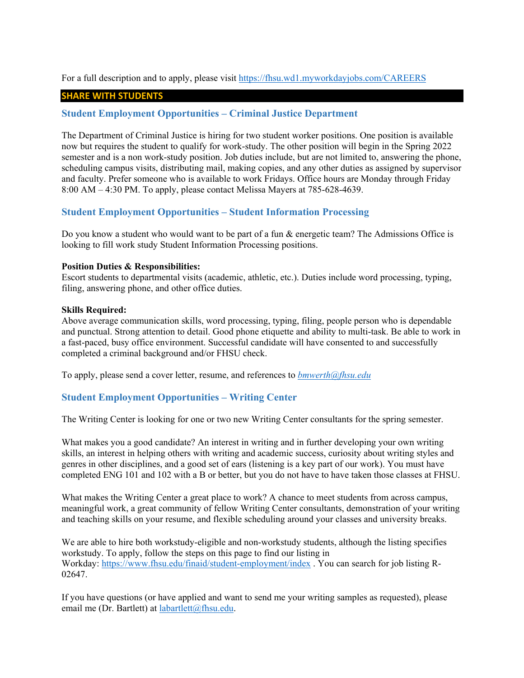For a full description and to apply, please visit<https://fhsu.wd1.myworkdayjobs.com/CAREERS>

#### **SHARE WITH STUDENTS**

### <span id="page-14-0"></span>**Student Employment Opportunities – Criminal Justice Department**

The Department of Criminal Justice is hiring for two student worker positions. One position is available now but requires the student to qualify for work-study. The other position will begin in the Spring 2022 semester and is a non work-study position. Job duties include, but are not limited to, answering the phone, scheduling campus visits, distributing mail, making copies, and any other duties as assigned by supervisor and faculty. Prefer someone who is available to work Fridays. Office hours are Monday through Friday 8:00 AM – 4:30 PM. To apply, please contact Melissa Mayers at 785-628-4639.

### <span id="page-14-1"></span>**Student Employment Opportunities – Student Information Processing**

Do you know a student who would want to be part of a fun & energetic team? The Admissions Office is looking to fill work study Student Information Processing positions.

#### **Position Duties & Responsibilities:**

Escort students to departmental visits (academic, athletic, etc.). Duties include word processing, typing, filing, answering phone, and other office duties.

#### **Skills Required:**

Above average communication skills, word processing, typing, filing, people person who is dependable and punctual. Strong attention to detail. Good phone etiquette and ability to multi-task. Be able to work in a fast-paced, busy office environment. Successful candidate will have consented to and successfully completed a criminal background and/or FHSU check.

To apply, please send a cover letter, resume, and references to *[bmwerth@fhsu.edu](mailto:bmwerth@fhsu.edu)*

### <span id="page-14-2"></span>**Student Employment Opportunities – Writing Center**

The Writing Center is looking for one or two new Writing Center consultants for the spring semester.

What makes you a good candidate? An interest in writing and in further developing your own writing skills, an interest in helping others with writing and academic success, curiosity about writing styles and genres in other disciplines, and a good set of ears (listening is a key part of our work). You must have completed ENG 101 and 102 with a B or better, but you do not have to have taken those classes at FHSU.

What makes the Writing Center a great place to work? A chance to meet students from across campus, meaningful work, a great community of fellow Writing Center consultants, demonstration of your writing and teaching skills on your resume, and flexible scheduling around your classes and university breaks.

We are able to hire both workstudy-eligible and non-workstudy students, although the listing specifies workstudy. To apply, follow the steps on this page to find our listing in Workday: <https://www.fhsu.edu/finaid/student-employment/index> . You can search for job listing R-02647.

If you have questions (or have applied and want to send me your writing samples as requested), please email me (Dr. Bartlett) at [labartlett@fhsu.edu.](mailto:labartlett@fhsu.edu)